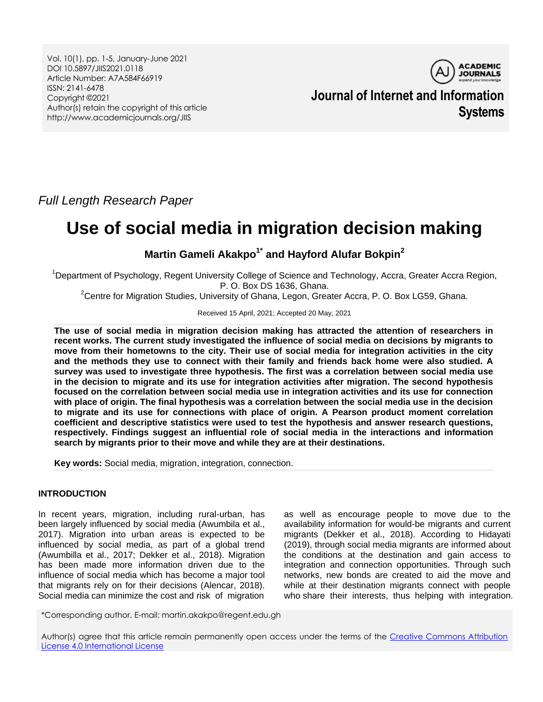Vol. 10(1), pp. 1-5, January-June 2021 DOI 10.5897/JIIS2021.0118 Article Number: A7A584F66919 ISSN: 2141-6478 Copyright ©2021 Author(s) retain the copyright of this article http://www.academicjournals.org/JIIS



**Journal of Internet and Information Systems**

*Full Length Research Paper*

# **Use of social media in migration decision making**

**Martin Gameli Akakpo1\* and Hayford Alufar Bokpin<sup>2</sup>**

<sup>1</sup>Department of Psychology, Regent University College of Science and Technology, Accra, Greater Accra Region, P. O. Box DS 1636, Ghana.

<sup>2</sup>Centre for Migration Studies, University of Ghana, Legon, Greater Accra, P. O. Box LG59, Ghana.

Received 15 April, 2021; Accepted 20 May, 2021

**The use of social media in migration decision making has attracted the attention of researchers in recent works. The current study investigated the influence of social media on decisions by migrants to move from their hometowns to the city. Their use of social media for integration activities in the city and the methods they use to connect with their family and friends back home were also studied. A survey was used to investigate three hypothesis. The first was a correlation between social media use in the decision to migrate and its use for integration activities after migration. The second hypothesis focused on the correlation between social media use in integration activities and its use for connection with place of origin. The final hypothesis was a correlation between the social media use in the decision to migrate and its use for connections with place of origin. A Pearson product moment correlation coefficient and descriptive statistics were used to test the hypothesis and answer research questions, respectively. Findings suggest an influential role of social media in the interactions and information search by migrants prior to their move and while they are at their destinations.**

**Key words:** Social media, migration, integration, connection.

## **INTRODUCTION**

In recent years, migration, including rural-urban, has been largely influenced by social media (Awumbila et al., 2017). Migration into urban areas is expected to be influenced by social media, as part of a global trend (Awumbilla et al., 2017; Dekker et al., 2018). Migration has been made more information driven due to the influence of social media which has become a major tool that migrants rely on for their decisions (Alencar, 2018). Social media can minimize the cost and risk of migration

as well as encourage people to move due to the availability information for would-be migrants and current migrants (Dekker et al., 2018). According to Hidayati (2019), through social media migrants are informed about the conditions at the destination and gain access to integration and connection opportunities. Through such networks, new bonds are created to aid the move and while at their destination migrants connect with people who share their interests, thus helping with integration.

\*Corresponding author. E-mail: martin.akakpo@regent.edu.gh

Author(s) agree that this article remain permanently open access under the terms of the Creative Commons Attribution [License 4.0 International License](http://creativecommons.org/licenses/by/4.0/deed.en_US)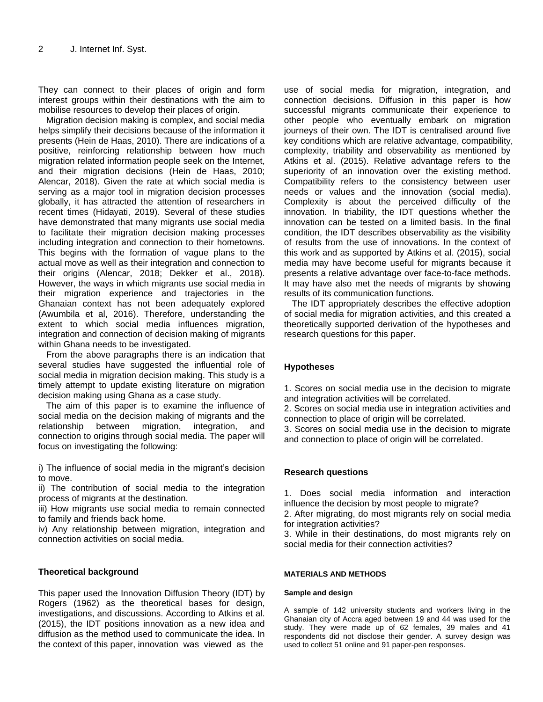They can connect to their places of origin and form interest groups within their destinations with the aim to mobilise resources to develop their places of origin.

Migration decision making is complex, and social media helps simplify their decisions because of the information it presents (Hein de Haas, 2010). There are indications of a positive, reinforcing relationship between how much migration related information people seek on the Internet, and their migration decisions (Hein de Haas, 2010; Alencar, 2018). Given the rate at which social media is serving as a major tool in migration decision processes globally, it has attracted the attention of researchers in recent times (Hidayati, 2019). Several of these studies have demonstrated that many migrants use social media to facilitate their migration decision making processes including integration and connection to their hometowns. This begins with the formation of vague plans to the actual move as well as their integration and connection to their origins (Alencar, 2018; Dekker et al., 2018). However, the ways in which migrants use social media in their migration experience and trajectories in the Ghanaian context has not been adequately explored (Awumbila et al, 2016). Therefore, understanding the extent to which social media influences migration, integration and connection of decision making of migrants within Ghana needs to be investigated.

From the above paragraphs there is an indication that several studies have suggested the influential role of social media in migration decision making. This study is a timely attempt to update existing literature on migration decision making using Ghana as a case study.

The aim of this paper is to examine the influence of social media on the decision making of migrants and the relationship between migration, integration, and connection to origins through social media. The paper will focus on investigating the following:

i) The influence of social media in the migrant's decision to move.

ii) The contribution of social media to the integration process of migrants at the destination.

iii) How migrants use social media to remain connected to family and friends back home.

iv) Any relationship between migration, integration and connection activities on social media.

# **Theoretical background**

This paper used the Innovation Diffusion Theory (IDT) by Rogers (1962) as the theoretical bases for design, investigations, and discussions. According to Atkins et al. (2015), the IDT positions innovation as a new idea and diffusion as the method used to communicate the idea. In the context of this paper, innovation was viewed as the

use of social media for migration, integration, and connection decisions. Diffusion in this paper is how successful migrants communicate their experience to other people who eventually embark on migration journeys of their own. The IDT is centralised around five key conditions which are relative advantage, compatibility, complexity, triability and observability as mentioned by Atkins et al. (2015). Relative advantage refers to the superiority of an innovation over the existing method. Compatibility refers to the consistency between user needs or values and the innovation (social media). Complexity is about the perceived difficulty of the innovation. In triability, the IDT questions whether the innovation can be tested on a limited basis. In the final condition, the IDT describes observability as the visibility of results from the use of innovations. In the context of this work and as supported by Atkins et al. (2015), social media may have become useful for migrants because it presents a relative advantage over face-to-face methods. It may have also met the needs of migrants by showing results of its communication functions.

The IDT appropriately describes the effective adoption of social media for migration activities, and this created a theoretically supported derivation of the hypotheses and research questions for this paper.

## **Hypotheses**

1. Scores on social media use in the decision to migrate and integration activities will be correlated.

2. Scores on social media use in integration activities and connection to place of origin will be correlated.

3. Scores on social media use in the decision to migrate and connection to place of origin will be correlated.

## **Research questions**

1. Does social media information and interaction influence the decision by most people to migrate?

2. After migrating, do most migrants rely on social media for integration activities?

3. While in their destinations, do most migrants rely on social media for their connection activities?

## **MATERIALS AND METHODS**

## **Sample and design**

A sample of 142 university students and workers living in the Ghanaian city of Accra aged between 19 and 44 was used for the study. They were made up of 62 females, 39 males and 41 respondents did not disclose their gender. A survey design was used to collect 51 online and 91 paper-pen responses.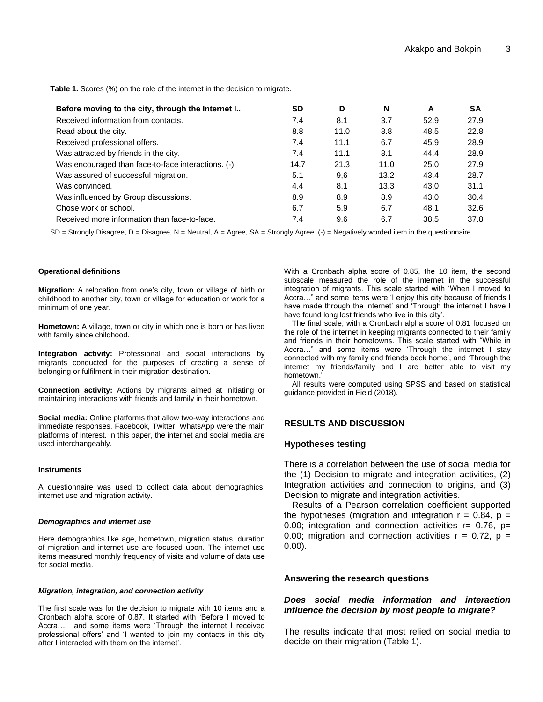**Table 1.** Scores (%) on the role of the internet in the decision to migrate.

|                                                    | <b>SD</b> | D    |      |      |           |
|----------------------------------------------------|-----------|------|------|------|-----------|
| Before moving to the city, through the Internet I  |           |      | N    | A    | <b>SA</b> |
| Received information from contacts.                | 7.4       | 8.1  | 3.7  | 52.9 | 27.9      |
| Read about the city.                               | 8.8       | 11.0 | 8.8  | 48.5 | 22.8      |
| Received professional offers.                      | 7.4       | 11.1 | 6.7  | 45.9 | 28.9      |
| Was attracted by friends in the city.              | 7.4       | 11.1 | 8.1  | 44.4 | 28.9      |
| Was encouraged than face-to-face interactions. (-) | 14.7      | 21.3 | 11.0 | 25.0 | 27.9      |
| Was assured of successful migration.               | 5.1       | 9.6  | 13.2 | 43.4 | 28.7      |
| Was convinced.                                     | 4.4       | 8.1  | 13.3 | 43.0 | 31.1      |
| Was influenced by Group discussions.               | 8.9       | 8.9  | 8.9  | 43.0 | 30.4      |
| Chose work or school.                              | 6.7       | 5.9  | 6.7  | 48.1 | 32.6      |
| Received more information than face-to-face.       | 7.4       | 9.6  | 6.7  | 38.5 | 37.8      |

SD = Strongly Disagree, D = Disagree, N = Neutral, A = Agree, SA = Strongly Agree. (-) = Negatively worded item in the questionnaire.

#### **Operational definitions**

**Migration:** A relocation from one"s city, town or village of birth or childhood to another city, town or village for education or work for a minimum of one year.

**Hometown:** A village, town or city in which one is born or has lived with family since childhood.

**Integration activity:** Professional and social interactions by migrants conducted for the purposes of creating a sense of belonging or fulfilment in their migration destination.

**Connection activity:** Actions by migrants aimed at initiating or maintaining interactions with friends and family in their hometown.

**Social media:** Online platforms that allow two-way interactions and immediate responses. Facebook, Twitter, WhatsApp were the main platforms of interest. In this paper, the internet and social media are used interchangeably.

#### **Instruments**

A questionnaire was used to collect data about demographics, internet use and migration activity.

## *Demographics and internet use*

Here demographics like age, hometown, migration status, duration of migration and internet use are focused upon. The internet use items measured monthly frequency of visits and volume of data use for social media.

#### *Migration, integration, and connection activity*

The first scale was for the decision to migrate with 10 items and a Cronbach alpha score of 0.87. It started with "Before I moved to Accra...' and some items were 'Through the internet I received professional offers" and "I wanted to join my contacts in this city after I interacted with them on the internet".

With a Cronbach alpha score of 0.85, the 10 item, the second subscale measured the role of the internet in the successful integration of migrants. This scale started with "When I moved to Accra…" and some items were "I enjoy this city because of friends I have made through the internet' and 'Through the internet I have I have found long lost friends who live in this city'.

The final scale, with a Cronbach alpha score of 0.81 focused on the role of the internet in keeping migrants connected to their family and friends in their hometowns. This scale started with "While in Accra…" and some items were "Through the internet I stay connected with my family and friends back home", and "Through the internet my friends/family and I are better able to visit my hometown."

All results were computed using SPSS and based on statistical guidance provided in Field (2018).

# **RESULTS AND DISCUSSION**

## **Hypotheses testing**

There is a correlation between the use of social media for the (1) Decision to migrate and integration activities, (2) Integration activities and connection to origins, and (3) Decision to migrate and integration activities.

Results of a Pearson correlation coefficient supported the hypotheses (migration and integration  $r = 0.84$ ,  $p =$ 0.00; integration and connection activities  $r = 0.76$ ,  $p =$ 0.00; migration and connection activities  $r = 0.72$ ,  $p =$ 0.00).

## **Answering the research questions**

# *Does social media information and interaction influence the decision by most people to migrate?*

The results indicate that most relied on social media to decide on their migration (Table 1).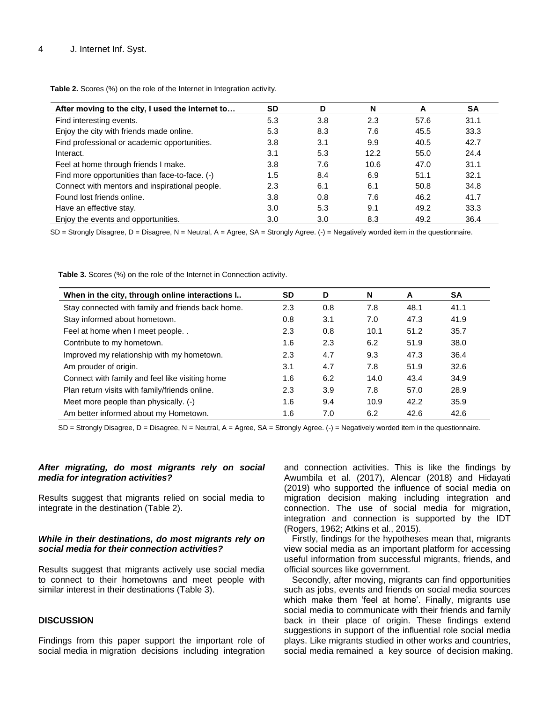| After moving to the city, I used the internet to | <b>SD</b>        | D   | N    | A    | <b>SA</b> |
|--------------------------------------------------|------------------|-----|------|------|-----------|
| Find interesting events.                         | 5.3              | 3.8 | 2.3  | 57.6 | 31.1      |
| Enjoy the city with friends made online.         | 5.3              | 8.3 | 7.6  | 45.5 | 33.3      |
| Find professional or academic opportunities.     | 3.8              | 3.1 | 9.9  | 40.5 | 42.7      |
| Interact.                                        | 3.1              | 5.3 | 12.2 | 55.0 | 24.4      |
| Feel at home through friends I make.             | 3.8              | 7.6 | 10.6 | 47.0 | 31.1      |
| Find more opportunities than face-to-face. (-)   | 1.5              | 8.4 | 6.9  | 51.1 | 32.1      |
| Connect with mentors and inspirational people.   | 2.3              | 6.1 | 6.1  | 50.8 | 34.8      |
| Found lost friends online.                       | 3.8              | 0.8 | 7.6  | 46.2 | 41.7      |
| Have an effective stay.                          | 3.0 <sub>2</sub> | 5.3 | 9.1  | 49.2 | 33.3      |
| Enjoy the events and opportunities.              | 3.0              | 3.0 | 8.3  | 49.2 | 36.4      |

**Table 2.** Scores (%) on the role of the Internet in Integration activity.

SD = Strongly Disagree, D = Disagree, N = Neutral, A = Agree, SA = Strongly Agree. (-) = Negatively worded item in the questionnaire.

**Table 3.** Scores (%) on the role of the Internet in Connection activity.

| When in the city, through online interactions I   | <b>SD</b> | D   | N    | A    | <b>SA</b> |
|---------------------------------------------------|-----------|-----|------|------|-----------|
| Stay connected with family and friends back home. | 2.3       | 0.8 | 7.8  | 48.1 | 41.1      |
| Stay informed about hometown.                     | 0.8       | 3.1 | 7.0  | 47.3 | 41.9      |
| Feel at home when I meet people                   | 2.3       | 0.8 | 10.1 | 51.2 | 35.7      |
| Contribute to my hometown.                        | 1.6       | 2.3 | 6.2  | 51.9 | 38.0      |
| Improved my relationship with my hometown.        | 2.3       | 4.7 | 9.3  | 47.3 | 36.4      |
| Am prouder of origin.                             | 3.1       | 4.7 | 7.8  | 51.9 | 32.6      |
| Connect with family and feel like visiting home   | 1.6       | 6.2 | 14.0 | 43.4 | 34.9      |
| Plan return visits with family/friends online.    | 2.3       | 3.9 | 7.8  | 57.0 | 28.9      |
| Meet more people than physically. (-)             | 1.6       | 9.4 | 10.9 | 42.2 | 35.9      |
| Am better informed about my Hometown.             | 1.6       | 7.0 | 6.2  | 42.6 | 42.6      |

SD = Strongly Disagree, D = Disagree, N = Neutral, A = Agree, SA = Strongly Agree. (-) = Negatively worded item in the questionnaire.

## *After migrating, do most migrants rely on social media for integration activities?*

Results suggest that migrants relied on social media to integrate in the destination (Table 2).

# *While in their destinations, do most migrants rely on social media for their connection activities?*

Results suggest that migrants actively use social media to connect to their hometowns and meet people with similar interest in their destinations (Table 3).

# **DISCUSSION**

Findings from this paper support the important role of social media in migration decisions including integration and connection activities. This is like the findings by Awumbila et al. (2017), Alencar (2018) and Hidayati (2019) who supported the influence of social media on migration decision making including integration and connection. The use of social media for migration, integration and connection is supported by the IDT (Rogers, 1962; Atkins et al., 2015).

Firstly, findings for the hypotheses mean that, migrants view social media as an important platform for accessing useful information from successful migrants, friends, and official sources like government.

Secondly, after moving, migrants can find opportunities such as jobs, events and friends on social media sources which make them 'feel at home'. Finally, migrants use social media to communicate with their friends and family back in their place of origin. These findings extend suggestions in support of the influential role social media plays. Like migrants studied in other works and countries, social media remained a key source of decision making.